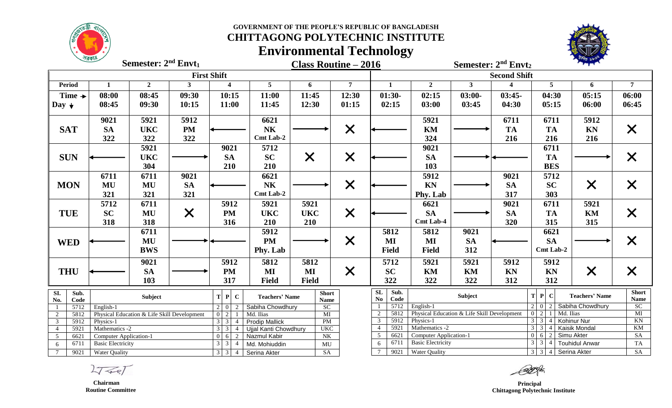

### **GOVERNMENT OF THE PEOPLE'S REPUBLIC OF BANGLADESH CHITTAGONG POLYTECHNIC INSTITUTE**

# **Environmental Technology**



**Class Routine – 2016 nd Semester: 2 Envt<sup>2</sup> Semester:**  $2^{nd}$  **Envt**<sub>1</sub>

Semester: 2<sup>nd</sup> Envt<sub>2</sub>

| <b>First Shift</b>                        |                                                     |                |                                    |                                                                                                                          |                                                   |                             |                                                                  |                                                                                    | <b>Second Shift</b>                                                                   |                |                                      |                                                  |                                                                                         |                   |  |  |
|-------------------------------------------|-----------------------------------------------------|----------------|------------------------------------|--------------------------------------------------------------------------------------------------------------------------|---------------------------------------------------|-----------------------------|------------------------------------------------------------------|------------------------------------------------------------------------------------|---------------------------------------------------------------------------------------|----------------|--------------------------------------|--------------------------------------------------|-----------------------------------------------------------------------------------------|-------------------|--|--|
| <b>Period</b>                             | $\mathbf{1}$                                        | $\overline{2}$ | 3                                  | $\overline{\mathbf{4}}$                                                                                                  | 5 <sup>5</sup>                                    | 6                           | $\overline{7}$                                                   | $\mathbf{1}$                                                                       | $\overline{2}$                                                                        | 3 <sup>1</sup> |                                      | 5                                                | 6                                                                                       | $\overline{7}$    |  |  |
| Time $\rightarrow$                        | 08:00                                               | 08:45          | 09:30                              | 10:15                                                                                                                    | 11:00                                             | 11:45                       | 12:30                                                            | $01:30-$                                                                           | 02:15                                                                                 | $03:00-$       | $03:45-$                             | 04:30                                            | 05:15                                                                                   | 06:00             |  |  |
| Day $\downarrow$                          | 08:45                                               | 09:30          | 10:15                              | 11:00                                                                                                                    | 11:45                                             | 12:30                       | 01:15                                                            | 02:15                                                                              | 03:00                                                                                 | 03:45          | 04:30                                | 05:15                                            | 06:00                                                                                   | 06:45             |  |  |
|                                           | 9021                                                | 5921           | 5912                               |                                                                                                                          | 6621                                              |                             |                                                                  |                                                                                    | 5921                                                                                  |                | 6711                                 | 6711                                             | 5912                                                                                    |                   |  |  |
| <b>SAT</b>                                | <b>SA</b>                                           | <b>UKC</b>     | <b>PM</b>                          |                                                                                                                          | <b>NK</b>                                         |                             | $\times$                                                         |                                                                                    | KM                                                                                    |                | <b>TA</b>                            | <b>TA</b>                                        | <b>KN</b>                                                                               | $\bm{\mathsf{X}}$ |  |  |
|                                           | 322                                                 | 322            | 322                                |                                                                                                                          | Cmt Lab-2                                         |                             |                                                                  |                                                                                    | 324                                                                                   |                | 216                                  | 216                                              | 216                                                                                     |                   |  |  |
|                                           |                                                     | 5921           |                                    | 9021                                                                                                                     | 5712                                              |                             |                                                                  |                                                                                    | 9021                                                                                  |                |                                      | 6711                                             |                                                                                         |                   |  |  |
| <b>SUN</b>                                |                                                     | <b>UKC</b>     |                                    | <b>SA</b>                                                                                                                | <b>SC</b>                                         | $\bm{\mathsf{X}}$           | $\times$                                                         |                                                                                    | <b>SA</b>                                                                             |                |                                      | <b>TA</b>                                        |                                                                                         |                   |  |  |
|                                           |                                                     | 304            |                                    | 210                                                                                                                      | 210                                               |                             |                                                                  |                                                                                    | 103                                                                                   |                |                                      | <b>BES</b>                                       |                                                                                         |                   |  |  |
|                                           | 6711                                                | 6711           | 9021                               |                                                                                                                          | 6621                                              |                             |                                                                  |                                                                                    | 5912                                                                                  |                | 9021                                 | 5712                                             |                                                                                         |                   |  |  |
| <b>MON</b>                                | <b>MU</b>                                           | MU             | <b>SA</b>                          |                                                                                                                          | N <sub>K</sub>                                    |                             | $\times$                                                         |                                                                                    | KN                                                                                    |                | <b>SA</b>                            | <b>SC</b>                                        | $\boldsymbol{\mathsf{X}}$                                                               | X                 |  |  |
|                                           | 321                                                 | 321            | 321                                |                                                                                                                          | <b>Cmt Lab-2</b>                                  |                             |                                                                  |                                                                                    | Phy. Lab                                                                              |                | 317                                  | 303                                              |                                                                                         |                   |  |  |
|                                           | 5712                                                | 6711           |                                    | 5912                                                                                                                     | 5921                                              | 5921                        |                                                                  |                                                                                    | 6621                                                                                  |                | 9021                                 | 6711                                             | 5921                                                                                    |                   |  |  |
| <b>TUE</b>                                | <b>SC</b>                                           | MU             | $\bm{\mathsf{X}}$                  | <b>PM</b>                                                                                                                | <b>UKC</b>                                        | <b>UKC</b>                  | $\times$                                                         |                                                                                    | <b>SA</b>                                                                             |                | <b>SA</b>                            | <b>TA</b>                                        | KM                                                                                      | $\bm{\mathsf{X}}$ |  |  |
|                                           | 318                                                 | 318            |                                    | 316                                                                                                                      | 210                                               | 210                         |                                                                  |                                                                                    | Cmt Lab-4                                                                             |                | 320                                  | 315                                              | 315                                                                                     |                   |  |  |
|                                           |                                                     | 6711           |                                    |                                                                                                                          | 5912                                              |                             |                                                                  | 5812                                                                               | 5812                                                                                  | 9021           |                                      | 6621                                             |                                                                                         |                   |  |  |
| <b>WED</b>                                |                                                     | MU             |                                    |                                                                                                                          | <b>PM</b>                                         |                             | $\times$                                                         | MI                                                                                 | MI                                                                                    | <b>SA</b>      |                                      | <b>SA</b>                                        |                                                                                         |                   |  |  |
|                                           |                                                     | <b>BWS</b>     |                                    |                                                                                                                          | Phy. Lab                                          |                             |                                                                  | <b>Field</b>                                                                       | <b>Field</b>                                                                          | 312            |                                      | Cmt Lab-2                                        |                                                                                         |                   |  |  |
|                                           |                                                     | 9021           |                                    | 5912                                                                                                                     | 5812                                              | 5812                        |                                                                  | 5712                                                                               | 5921                                                                                  | 5921           | 5912                                 | 5912                                             |                                                                                         |                   |  |  |
| <b>THU</b>                                |                                                     | <b>SA</b>      |                                    | <b>PM</b>                                                                                                                | MI                                                | MI                          | $\times$                                                         | <b>SC</b>                                                                          | KM                                                                                    | KM             | <b>KN</b>                            | <b>KN</b>                                        | $\times$                                                                                |                   |  |  |
|                                           |                                                     | 103            |                                    | 317                                                                                                                      | <b>Field</b>                                      | <b>Field</b>                |                                                                  | 322                                                                                | 322                                                                                   | 322            | 312                                  | 312                                              |                                                                                         |                   |  |  |
| $\overline{SL}$<br>No.                    | Sub.<br>Subject<br>Code                             |                | $\mathbf{P}$<br>$\mathbf{C}$<br>T. | <b>Teachers' Name</b>                                                                                                    |                                                   | <b>Short</b><br><b>Name</b> | $\overline{\text{SL}}$<br>Sub.<br>$\mathbf{N}\mathbf{o}$<br>Code | Subject                                                                            |                                                                                       |                | $T$ $P$ $C$<br><b>Teachers' Name</b> | <b>Short</b><br><b>Name</b>                      |                                                                                         |                   |  |  |
|                                           | 5712<br>English-1                                   |                |                                    | $2 \ 0$<br>Sabiha Chowdhury<br>2                                                                                         |                                                   |                             | SC                                                               | 5712<br>English-1                                                                  |                                                                                       |                |                                      | $2 \mid 0$<br>Sabiha Chowdhury<br>$\overline{2}$ |                                                                                         |                   |  |  |
| 2                                         | 5812<br>Physical Education & Life Skill Development |                |                                    | $\overline{2}$<br>Md. Ilias<br>$\overline{0}$                                                                            |                                                   |                             | MI                                                               | 5812<br>Physical Education & Life Skill Development<br>$\mathcal{D}_{\mathcal{L}}$ |                                                                                       |                |                                      | $0\vert 2$<br>Md. Ilias                          | $\overline{MI}$<br>$\overline{KN}$                                                      |                   |  |  |
| 5912<br>$\overline{3}$                    | Physics-1                                           |                |                                    | $\overline{3}$<br>$\mathcal{E}$<br>$\overline{4}$                                                                        | <b>Prodip Mallick</b>                             | PM<br><b>UKC</b>            |                                                                  | 5921                                                                               | 5912<br>Physics-1<br>$\mathcal{R}$                                                    |                |                                      |                                                  | $3 \mid 3$<br><b>Kohinur Nur</b><br>$\vert$ 4<br>$3 \mid 3$<br>$\boldsymbol{\varDelta}$ |                   |  |  |
| $\overline{4}$<br>$5\overline{)}$<br>6621 | Mathematics -2<br>5921<br>Computer Application-1    |                |                                    | $\overline{3}$<br>$\mathcal{E}$<br>Ujjal Kanti Chowdhury<br>$6\overline{}$<br><b>Nazmul Kabir</b><br>$\overline{0}$<br>2 |                                                   |                             | N <sub>K</sub>                                                   | 6621<br>-5                                                                         | Mathematics -2<br>6<br><b>Computer Application-1</b><br>$\Omega$                      |                |                                      |                                                  | Kaisik Mondal<br>Simu Akter                                                             |                   |  |  |
| 6711<br>6                                 | <b>Basic Electricity</b>                            |                |                                    | $\overline{3}$                                                                                                           | Md. Mohiuddin                                     |                             |                                                                  | 6711<br>6                                                                          | $\mathfrak{Z}$<br><b>Basic Electricity</b><br>$\overline{3}$<br><b>Touhidul Anwar</b> |                |                                      |                                                  |                                                                                         | SA<br>${\rm TA}$  |  |  |
| $7\phantom{.0}$                           | 9021<br><b>Water Quality</b>                        |                |                                    |                                                                                                                          | $3 \mid 3 \mid$<br>Serina Akter<br>$\overline{4}$ |                             |                                                                  | 9021<br>$7\phantom{.0}$                                                            | Water Quality                                                                         |                |                                      |                                                  | 3 3 4 Serina Akter                                                                      |                   |  |  |

 $2777$ 

 **Chairman Routine Committee**

 **Principal Chittagong Polytechnic Institute**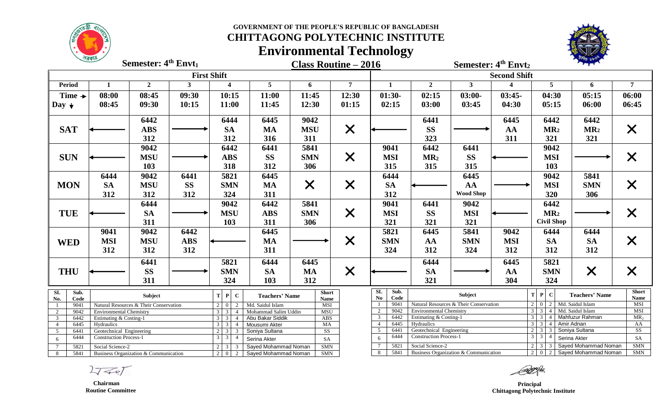

**Semester:**  $4^{\text{th}}$  **Envt**<sub>1</sub>

### **GOVERNMENT OF THE PEOPLE'S REPUBLIC OF BANGLADESH**

## **CHITTAGONG POLYTECHNIC INSTITUTE**



**Environmental Technology**

|                         | $\sim$                                                                                         | Semester: 4 <sup>th</sup> Envt <sub>1</sub> |              |                                        | <b>Class Routine - 2016</b>     |                     |                 |                                | Semester: 4 <sup>th</sup> Envt <sub>2</sub>               |                                        |                        |                                                                 |                                         |                             |  |  |
|-------------------------|------------------------------------------------------------------------------------------------|---------------------------------------------|--------------|----------------------------------------|---------------------------------|---------------------|-----------------|--------------------------------|-----------------------------------------------------------|----------------------------------------|------------------------|-----------------------------------------------------------------|-----------------------------------------|-----------------------------|--|--|
|                         |                                                                                                |                                             |              | <b>First Shift</b>                     |                                 | <b>Second Shift</b> |                 |                                |                                                           |                                        |                        |                                                                 |                                         |                             |  |  |
| <b>Period</b>           | 1                                                                                              | $\overline{2}$                              | $\mathbf{3}$ | $\overline{\mathbf{4}}$                | 5 <sup>5</sup>                  | 6                   | $7\phantom{.0}$ | 1                              | $\overline{2}$                                            | 3 <sup>1</sup>                         | $\boldsymbol{\Lambda}$ | 5 <sup>5</sup>                                                  | 6                                       | $\overline{7}$              |  |  |
| Time $\rightarrow$      | 08:00                                                                                          | 08:45                                       | 09:30        | 10:15                                  | 11:00                           | 11:45               | 12:30           | $01:30-$                       | 02:15                                                     | $03:00-$                               | $03:45-$               | 04:30                                                           | 05:15                                   | 06:00                       |  |  |
| Day $\downarrow$        | 08:45                                                                                          | 09:30                                       | 10:15        | 11:00                                  | 11:45                           | 12:30               | 01:15           | 02:15                          | 03:00                                                     | 03:45                                  | 04:30                  | 05:15                                                           | 06:00                                   | 06:45                       |  |  |
|                         |                                                                                                | 6442                                        |              | 6444                                   | 6445                            | 9042                |                 |                                | 6441                                                      |                                        | 6445                   | 6442                                                            | 6442                                    |                             |  |  |
| <b>SAT</b>              |                                                                                                | <b>ABS</b>                                  |              | <b>SA</b>                              | <b>MA</b>                       | <b>MSU</b>          | $\times$        |                                | <b>SS</b>                                                 |                                        | AA                     | MR <sub>2</sub>                                                 | MR <sub>2</sub>                         | X                           |  |  |
|                         |                                                                                                | 312                                         |              | 312                                    | 316                             | 311                 |                 |                                | 323                                                       |                                        | 311                    | 321                                                             | 321                                     |                             |  |  |
|                         |                                                                                                | 9042                                        |              | 6442                                   | 6441                            | 5841                |                 | 9041                           | 6442                                                      | 6441                                   |                        | 9042                                                            |                                         |                             |  |  |
| <b>SUN</b>              |                                                                                                | <b>MSU</b><br><b>ABS</b><br>103<br>318      |              |                                        | <b>SS</b>                       | <b>SMN</b>          | $\times$        | <b>MSI</b>                     | MR <sub>2</sub>                                           | <b>SS</b>                              |                        | <b>MSI</b>                                                      |                                         | X                           |  |  |
|                         |                                                                                                |                                             |              | 312                                    |                                 | 306                 |                 | 315                            | 315                                                       | 315                                    |                        | 103                                                             |                                         |                             |  |  |
|                         | 6444                                                                                           | 9042                                        | 6441         | 5821                                   | 6445                            |                     |                 | 6444                           |                                                           | 6445                                   |                        | 9042                                                            | 5841                                    |                             |  |  |
| <b>MON</b>              | <b>SA</b>                                                                                      | <b>MSU</b>                                  | <b>SS</b>    | <b>SMN</b>                             | <b>MA</b>                       | $\times$            | $\times$        | <b>SA</b>                      |                                                           | AA                                     |                        | <b>MSI</b>                                                      | <b>SMN</b>                              | $\bm{\mathsf{X}}$           |  |  |
|                         | 312                                                                                            | 312                                         | 312          | 324                                    | 311                             |                     |                 | 312                            |                                                           | <b>Wood Shop</b>                       |                        | 320                                                             | 306                                     |                             |  |  |
|                         |                                                                                                | 6444                                        |              | 9042                                   | 6442                            | 5841                |                 | 9041                           | 6441                                                      | 9042                                   |                        | 6442                                                            |                                         |                             |  |  |
| <b>TUE</b>              |                                                                                                | <b>SA</b>                                   |              | <b>MSU</b>                             | <b>ABS</b>                      | <b>SMN</b>          | $\times$        | <b>MSI</b>                     | <b>SS</b>                                                 | <b>MSI</b>                             |                        | MR <sub>2</sub>                                                 |                                         | $\bm{\mathsf{X}}$           |  |  |
|                         |                                                                                                | 311                                         |              | 103                                    | 311                             | 306                 |                 | 321                            | 321                                                       | 321                                    |                        | <b>Civil Shop</b>                                               |                                         |                             |  |  |
|                         | 9041                                                                                           | 9042                                        | 6442         |                                        | 6445                            |                     |                 | 5821                           | 6445                                                      | 5841                                   | 9042                   | 6444                                                            | 6444                                    |                             |  |  |
|                         | <b>MSI</b>                                                                                     | <b>MSU</b>                                  | <b>ABS</b>   |                                        | <b>MA</b>                       |                     |                 | <b>SMN</b>                     | AA                                                        | <b>SMN</b>                             | <b>MSI</b>             | <b>SA</b>                                                       | <b>SA</b>                               |                             |  |  |
| <b>WED</b>              | 312                                                                                            | 312                                         | 312          |                                        | 311                             |                     | $\times$        | 324                            | 312                                                       | 324                                    | 312                    | 312                                                             | 312                                     | $\bm{\mathsf{X}}$           |  |  |
|                         |                                                                                                |                                             |              |                                        |                                 |                     |                 |                                |                                                           |                                        | 6445                   |                                                                 |                                         |                             |  |  |
|                         |                                                                                                | 6441                                        | 5821<br>6444 |                                        | 6445                            |                     |                 | 6444                           |                                                           |                                        | 5821                   |                                                                 |                                         |                             |  |  |
| <b>THU</b>              |                                                                                                | <b>SS</b>                                   |              | <b>SMN</b>                             | <b>SA</b>                       | <b>MA</b>           | $\times$        |                                | <b>SA</b>                                                 |                                        | AA                     | <b>SMN</b>                                                      | $\times$                                | $\bm{\mathsf{X}}$           |  |  |
|                         |                                                                                                | 311                                         |              | 324                                    | 103                             | 312                 |                 |                                | 321                                                       |                                        | 304                    | 324                                                             |                                         |                             |  |  |
| Sub.<br>SI.             |                                                                                                | Subject                                     |              | $T$ $P$<br>$\mathbf{C}$                | <b>Teachers' Name</b>           |                     | <b>Short</b>    | SL<br>Sub.                     |                                                           | Subject                                |                        | $T$ $P$ $C$                                                     | <b>Teachers' Name</b>                   | <b>Short</b><br><b>Name</b> |  |  |
|                         | No.<br>Code                                                                                    |                                             |              | $\overline{2}$<br>$\overline{0}$       | Name<br>Md. Saidul Islam<br>MSI |                     |                 | N <sub>0</sub><br>Code<br>9041 |                                                           | Natural Resources & Their Conservation |                        | $2 \mid 0 \mid 2 \mid$ Md. Saidul Islam                         |                                         |                             |  |  |
| 2                       | 9041<br>Natural Resources & Their Conservation<br>-1<br>9042<br><b>Environmental Chemistry</b> |                                             |              | $3 \mid 3$<br>$\boldsymbol{\varDelta}$ | Mohammad Salim Uddin            |                     | <b>MSU</b>      |                                | 9042<br><b>Environmental Chemistry</b>                    |                                        |                        | Md. Saidul Islam<br>$\overline{3}$<br>$\overline{4}$            | MSI<br>MSI                              |                             |  |  |
| $\overline{\mathbf{3}}$ | 6442<br>Estimating & Costing-1<br>$\mathcal{E}$                                                |                                             |              |                                        | Abu Bakar Siddik                | ABS                 | $\overline{3}$  | 6442<br>Estimating & Costing-1 |                                                           |                                        |                        | Mahfuzur Rahman<br>$\overline{3}$ $\overline{3}$ $\overline{4}$ |                                         |                             |  |  |
| $\overline{4}$          | 6445<br>Hydraulics<br>$\mathbf{3}$                                                             |                                             |              |                                        | Mousumi Akter                   | MA                  |                 | $\overline{4}$                 | 6445<br>$3 \mid 3 \mid$<br>Hydraulics<br>$\overline{4}$   |                                        |                        |                                                                 | Amir Adnan                              | AA                          |  |  |
| 5<br>6441               |                                                                                                | Geotechnical Engineering                    |              | $2 \mid 3$<br>3                        | Soniya Sultana                  |                     | SS              | $\overline{5}$<br>6441<br>6444 | Geotechnical Engineering<br><b>Construction Process-1</b> |                                        |                        | $2 \mid 3 \mid$<br>Soniya Sultana<br>$3 \mid 3$                 | SS                                      |                             |  |  |
| 6444<br>6               | <b>Construction Process-1</b>                                                                  |                                             |              | 3<br>3<br>$\overline{4}$               | Serina Akter                    | SA                  |                 | 6                              |                                                           |                                        |                        | $\overline{4}$                                                  | Serina Akter                            | SA                          |  |  |
| $7\phantom{.0}$<br>5821 | Social Science-2                                                                               |                                             |              |                                        | Sayed Mohammad Noman            | <b>SMN</b>          |                 |                                | 5821<br>Social Science-2<br>$2 \mid 3 \mid$               |                                        |                        |                                                                 | Sayed Mohammad Noman<br><b>SMN</b><br>3 |                             |  |  |
| 8<br>5841               |                                                                                                | Business Organization & Communication       |              | $2 \quad 0$<br>2                       | Sayed Mohammad Noman            | $\mbox{SMN}$        |                 | 5841<br>8                      |                                                           | Business Organization & Communication  |                        | 2 0 2 Sayed Mohammad Noman                                      | SMN                                     |                             |  |  |

 $27 - 7$ 

 **Chairman Routine Committee**

 **Principal Chittagong Polytechnic Institute**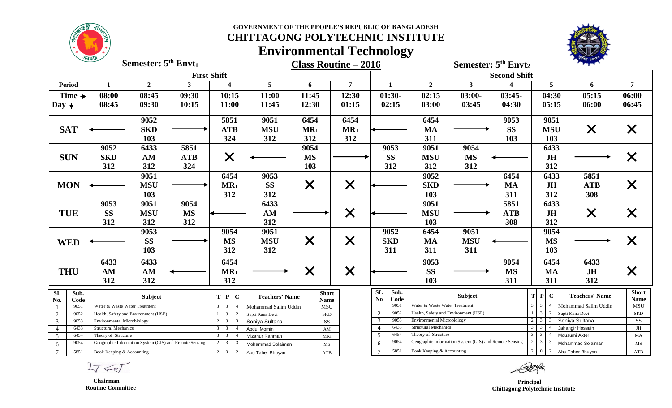

### **GOVERNMENT OF THE PEOPLE'S REPUBLIC OF BANGLADESH CHITTAGONG POLYTECHNIC INSTITUTE**

# **Environmental Technology**



**Semester:**  $5<sup>th</sup>$  **Envt**<sub>1</sub>

**Class Routine – 2016 th Semester: 5 Envt<sup>2</sup>**

Semester: 5<sup>th</sup> Envt<sub>2</sub>

| <b>First Shift</b>                               |                                       |                                                                                         |                                                          |                                                   |                           |                   |                           |                             | <b>Second Shift</b>                                                       |              |                                                    |                                   |                                                                            |      |                       |                   |
|--------------------------------------------------|---------------------------------------|-----------------------------------------------------------------------------------------|----------------------------------------------------------|---------------------------------------------------|---------------------------|-------------------|---------------------------|-----------------------------|---------------------------------------------------------------------------|--------------|----------------------------------------------------|-----------------------------------|----------------------------------------------------------------------------|------|-----------------------|-------------------|
| <b>Period</b>                                    |                                       | $\overline{2}$                                                                          | 3                                                        | $\overline{4}$                                    | 5                         | 6                 | $\overline{7}$            | $\mathbf{1}$                | $\overline{2}$                                                            | $\mathbf{3}$ |                                                    |                                   | 5                                                                          |      | 6                     | 7                 |
| Time $\rightarrow$                               | 08:00                                 | 08:45                                                                                   | 09:30                                                    | 10:15                                             | 11:00                     | 11:45             | 12:30                     | $01:30-$                    | 02:15                                                                     | $03:00-$     | $03:45-$                                           |                                   | 04:30                                                                      |      | 05:15                 | 06:00             |
| Day $\downarrow$                                 | 08:45                                 | 09:30                                                                                   | 10:15                                                    | 11:00                                             | 11:45                     | 12:30             | 01:15                     | 02:15                       | 03:00                                                                     | 03:45        | 04:30                                              |                                   | 05:15                                                                      |      | 06:00                 | 06:45             |
|                                                  |                                       |                                                                                         |                                                          |                                                   |                           |                   |                           |                             |                                                                           |              |                                                    |                                   |                                                                            |      |                       |                   |
|                                                  |                                       | 9052                                                                                    |                                                          | 5851                                              | 9051                      | 6454              | 6454                      |                             | 6454                                                                      |              | 9053                                               |                                   | 9051                                                                       |      |                       |                   |
| <b>SAT</b>                                       |                                       | <b>SKD</b>                                                                              |                                                          | <b>ATB</b>                                        | <b>MSU</b>                | MR <sub>1</sub>   | MR <sub>1</sub>           |                             | <b>MA</b>                                                                 |              | <b>SS</b>                                          |                                   | <b>MSU</b>                                                                 |      | $\bm{\mathsf{X}}$     |                   |
|                                                  |                                       | 103                                                                                     |                                                          | 324                                               | 312                       | 312               | 312                       |                             | 311                                                                       |              | 103                                                |                                   | 103                                                                        |      |                       |                   |
|                                                  | 9052                                  | 6433                                                                                    | 5851                                                     |                                                   |                           | 9054              |                           | 9053                        | 9051                                                                      | 9054         |                                                    |                                   | 6433                                                                       |      |                       |                   |
| <b>SUN</b>                                       | <b>SKD</b>                            | AM                                                                                      | <b>ATB</b>                                               | $\bm{\times}$                                     |                           | <b>MS</b>         |                           | <b>SS</b>                   | <b>MSU</b>                                                                | <b>MS</b>    |                                                    |                                   | JH                                                                         |      |                       |                   |
|                                                  | 312                                   | 312                                                                                     | 324                                                      |                                                   |                           | 103               |                           | 312                         | 312                                                                       | 312          |                                                    |                                   | 312                                                                        |      |                       |                   |
|                                                  |                                       | 9051                                                                                    |                                                          | 6454                                              | 9053                      |                   |                           |                             | 9052                                                                      |              | 6454                                               |                                   | 6433                                                                       |      | 5851                  |                   |
| <b>MON</b>                                       |                                       | <b>MSU</b>                                                                              |                                                          | $MR_1$                                            | <b>SS</b>                 | $\bm{\mathsf{X}}$ | $\boldsymbol{\mathsf{X}}$ |                             | <b>SKD</b>                                                                |              | <b>MA</b>                                          |                                   | <b>JH</b>                                                                  |      | <b>ATB</b>            | $\bm{\mathsf{X}}$ |
|                                                  |                                       | 103                                                                                     |                                                          | 312                                               | 312                       |                   |                           |                             | 103                                                                       |              | 311                                                |                                   | 312                                                                        |      | 308                   |                   |
|                                                  | 9053                                  | 9051                                                                                    | 9054                                                     |                                                   | 6433                      |                   |                           |                             | 9051                                                                      |              | 5851                                               |                                   | 6433                                                                       |      |                       |                   |
| <b>TUE</b>                                       | <b>SS</b>                             | <b>MSU</b>                                                                              | <b>MS</b>                                                |                                                   | AM                        |                   |                           |                             | <b>MSU</b>                                                                |              | <b>ATB</b>                                         |                                   | JH                                                                         |      |                       |                   |
|                                                  | 312                                   | 312                                                                                     | 312                                                      |                                                   | 312                       |                   | $\times$                  |                             | 103                                                                       |              | 308                                                |                                   | 312                                                                        |      | $\times$              |                   |
|                                                  |                                       | 9053                                                                                    |                                                          | 9054                                              | 9051                      |                   |                           | 9052                        | 6454                                                                      | 9051         |                                                    |                                   | 9054                                                                       |      |                       |                   |
|                                                  |                                       |                                                                                         |                                                          |                                                   |                           |                   |                           |                             |                                                                           |              |                                                    |                                   |                                                                            |      |                       |                   |
| <b>WED</b>                                       |                                       | <b>SS</b>                                                                               |                                                          | <b>MS</b>                                         | <b>MSU</b>                | $\bm{\mathsf{X}}$ | $\times$                  | <b>SKD</b>                  | <b>MA</b>                                                                 | <b>MSU</b>   |                                                    |                                   | <b>MS</b>                                                                  |      |                       |                   |
|                                                  |                                       | 103                                                                                     |                                                          | 312                                               | 312                       |                   |                           | 311                         | 311                                                                       | 311          |                                                    | 103                               |                                                                            |      |                       |                   |
|                                                  | 6433                                  | 6433                                                                                    |                                                          | 6454                                              |                           |                   |                           |                             | 9053<br>9054                                                              |              |                                                    | 6454                              |                                                                            | 6433 |                       |                   |
| <b>THU</b>                                       | AM                                    | AM                                                                                      |                                                          | MR <sub>1</sub>                                   |                           | $\bm{\times}$     | $\bm{\times}$             |                             | <b>SS</b>                                                                 |              | <b>MS</b>                                          |                                   | <b>MA</b>                                                                  |      | <b>JH</b>             |                   |
|                                                  | 312                                   | 312                                                                                     |                                                          | 312                                               |                           |                   |                           |                             | 103                                                                       |              | 311                                                |                                   | 311                                                                        |      | 312                   |                   |
| Sub.<br>SI.                                      |                                       |                                                                                         |                                                          |                                                   |                           | <b>Short</b>      |                           | <b>SL</b><br>Sub.           |                                                                           | Subject      |                                                    | T                                 | $\mathbf{P}$<br><sup>-</sup> C                                             |      | <b>Teachers' Name</b> | <b>Short</b>      |
| No.<br>Code                                      | Subject                               |                                                                                         | $\mathbf P$<br>$\mathbf C$<br><b>Teachers' Name</b><br>Т |                                                   | <b>Name</b>               |                   | Code<br>N <sub>0</sub>    |                             |                                                                           |              |                                                    |                                   |                                                                            |      | <b>Name</b>           |                   |
|                                                  | Water & Waste Water Treatment<br>9051 |                                                                                         |                                                          | Mohammad Salim Uddin<br>$\overline{4}$            |                           | MSU<br><b>SKD</b> |                           | 9051<br>9052                | Water & Waste Water Treatment                                             |              |                                                    | $\mathbf{3}$                      | 3 <sup>7</sup>                                                             |      | Mohammad Salim Uddin  | MSU               |
| $\overline{2}$<br>9052<br>$\mathfrak{Z}$<br>9053 | <b>Environmental Microbiology</b>     | Health, Safety and Environment (HSE)                                                    |                                                          | $\overline{3}$<br>2 <sup>1</sup>                  | 3<br>2<br>Supti Kana Devi |                   |                           | 2<br>9053<br>3              | Health, Safety and Environment (HSE)<br><b>Environmental Microbiology</b> |              |                                                    |                                   | $\overline{\mathbf{3}}$<br>Supti Kana Devi<br>$2 \mid 3$<br>Soniya Sultana |      |                       | <b>SKD</b><br>SS  |
| 6433<br>$\overline{4}$                           | <b>Structural Mechanics</b>           | <b>SS</b><br>Soniya Sultana<br>$3 \mid 3$<br>$\overline{4}$<br><b>Abdul Momin</b><br>AM |                                                          |                                                   |                           |                   | 6433                      | <b>Structural Mechanics</b> |                                                                           |              | 3 <sup>7</sup><br>$\mathbf{3}$<br>Jahangir Hossain |                                   |                                                                            | JH   |                       |                   |
| 6454<br>5                                        | Theory of Structure                   |                                                                                         |                                                          | $3 \mid 3$<br>$\overline{4}$                      | Mizanur Rahman            | $MR_1$            |                           | 6454<br>5                   | Theory of Structure                                                       |              |                                                    | 3 <sup>7</sup><br>$\mathbf{3}$    | Mousumi Akter                                                              |      | MA                    |                   |
| 9054<br>6                                        |                                       | Geographic Information System (GIS) and Remote Sensing                                  |                                                          | $2 \mid 3$<br>$\mathbf{3}$                        | Mohammad Solaiman         |                   | MS                        | 9054<br>6                   | Geographic Information System (GIS) and Remote Sensing                    |              |                                                    | $2^{\circ}$                       | $\mathbf{3}$<br>Mohammad Solaiman                                          |      | MS                    |                   |
| $7\overline{ }$<br>5851                          | Book Keeping & Accounting             |                                                                                         |                                                          | $2\sqrt{0}$<br>$\overline{2}$<br>Abu Taher Bhuyan |                           |                   | ATB                       | 5851                        | Book Keeping & Accounting                                                 |              |                                                    | $2 \quad 0$<br>2 Abu Taher Bhuyan |                                                                            |      |                       | ATB               |

 $2777$ 

 **Chairman Routine Committee**

 **Principal Chittagong Polytechnic Institute**